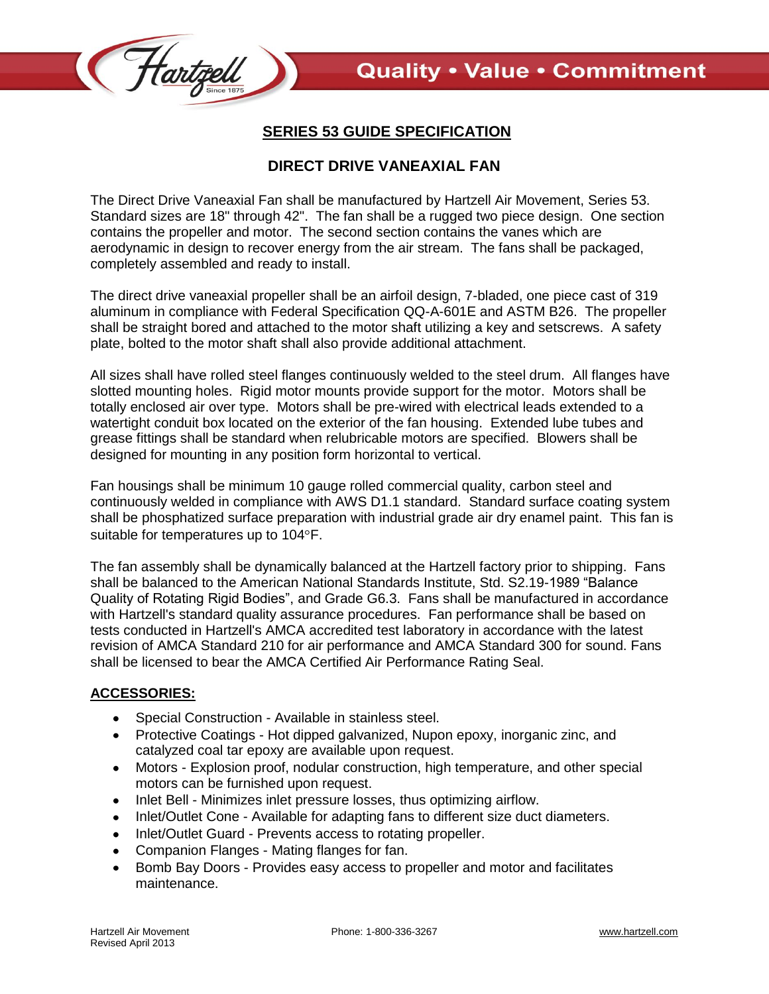

## **SERIES 53 GUIDE SPECIFICATION**

## **DIRECT DRIVE VANEAXIAL FAN**

The Direct Drive Vaneaxial Fan shall be manufactured by Hartzell Air Movement, Series 53. Standard sizes are 18" through 42". The fan shall be a rugged two piece design. One section contains the propeller and motor. The second section contains the vanes which are aerodynamic in design to recover energy from the air stream. The fans shall be packaged, completely assembled and ready to install.

The direct drive vaneaxial propeller shall be an airfoil design, 7-bladed, one piece cast of 319 aluminum in compliance with Federal Specification QQ-A-601E and ASTM B26. The propeller shall be straight bored and attached to the motor shaft utilizing a key and setscrews. A safety plate, bolted to the motor shaft shall also provide additional attachment.

All sizes shall have rolled steel flanges continuously welded to the steel drum. All flanges have slotted mounting holes. Rigid motor mounts provide support for the motor. Motors shall be totally enclosed air over type. Motors shall be pre-wired with electrical leads extended to a watertight conduit box located on the exterior of the fan housing. Extended lube tubes and grease fittings shall be standard when relubricable motors are specified. Blowers shall be designed for mounting in any position form horizontal to vertical.

Fan housings shall be minimum 10 gauge rolled commercial quality, carbon steel and continuously welded in compliance with AWS D1.1 standard. Standard surface coating system shall be phosphatized surface preparation with industrial grade air dry enamel paint. This fan is suitable for temperatures up to 104°F.

The fan assembly shall be dynamically balanced at the Hartzell factory prior to shipping. Fans shall be balanced to the American National Standards Institute, Std. S2.19-1989 "Balance Quality of Rotating Rigid Bodies", and Grade G6.3. Fans shall be manufactured in accordance with Hartzell's standard quality assurance procedures. Fan performance shall be based on tests conducted in Hartzell's AMCA accredited test laboratory in accordance with the latest revision of AMCA Standard 210 for air performance and AMCA Standard 300 for sound. Fans shall be licensed to bear the AMCA Certified Air Performance Rating Seal.

## **ACCESSORIES:**

- Special Construction Available in stainless steel.
- Protective Coatings Hot dipped galvanized, Nupon epoxy, inorganic zinc, and catalyzed coal tar epoxy are available upon request.
- Motors Explosion proof, nodular construction, high temperature, and other special motors can be furnished upon request.
- Inlet Bell Minimizes inlet pressure losses, thus optimizing airflow.
- Inlet/Outlet Cone Available for adapting fans to different size duct diameters.  $\bullet$
- Inlet/Outlet Guard Prevents access to rotating propeller.
- Companion Flanges Mating flanges for fan.  $\bullet$
- Bomb Bay Doors Provides easy access to propeller and motor and facilitates  $\bullet$ maintenance.